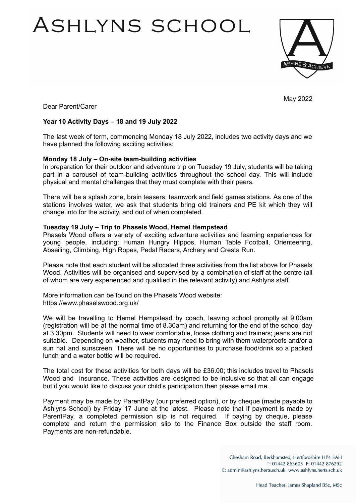# ASHLYNS SCHOOL



May 2022

Dear Parent/Carer

## **Year 10 Activity Days – 18 and 19 July 2022**

The last week of term, commencing Monday 18 July 2022, includes two activity days and we have planned the following exciting activities:

## **Monday 18 July – On-site team-building activities**

In preparation for their outdoor and adventure trip on Tuesday 19 July, students will be taking part in a carousel of team-building activities throughout the school day. This will include physical and mental challenges that they must complete with their peers.

There will be a splash zone, brain teasers, teamwork and field games stations. As one of the stations involves water, we ask that students bring old trainers and PE kit which they will change into for the activity, and out of when completed.

### **Tuesday 19 July – Trip to Phasels Wood, Hemel Hempstead**

Phasels Wood offers a variety of exciting adventure activities and learning experiences for young people, including: Human Hungry Hippos, Human Table Football, Orienteering, Abseiling, Climbing, High Ropes, Pedal Racers, Archery and Cresta Run.

Please note that each student will be allocated three activities from the list above for Phasels Wood. Activities will be organised and supervised by a combination of staff at the centre (all of whom are very experienced and qualified in the relevant activity) and Ashlyns staff.

More information can be found on the Phasels Wood website: https://www.phaselswood.org.uk/

We will be travelling to Hemel Hempstead by coach, leaving school promptly at 9.00am (registration will be at the normal time of 8.30am) and returning for the end of the school day at 3.30pm. Students will need to wear comfortable, loose clothing and trainers; jeans are not suitable. Depending on weather, students may need to bring with them waterproofs and/or a sun hat and sunscreen. There will be no opportunities to purchase food/drink so a packed lunch and a water bottle will be required.

The total cost for these activities for both days will be £36.00; this includes travel to Phasels Wood and insurance. These activities are designed to be inclusive so that all can engage but if you would like to discuss your child's participation then please email me.

Payment may be made by ParentPay (our preferred option), or by cheque (made payable to Ashlyns School) by Friday 17 June at the latest. Please note that if payment is made by ParentPay, a completed permission slip is not required. If paying by cheque, please complete and return the permission slip to the Finance Box outside the staff room. Payments are non-refundable.